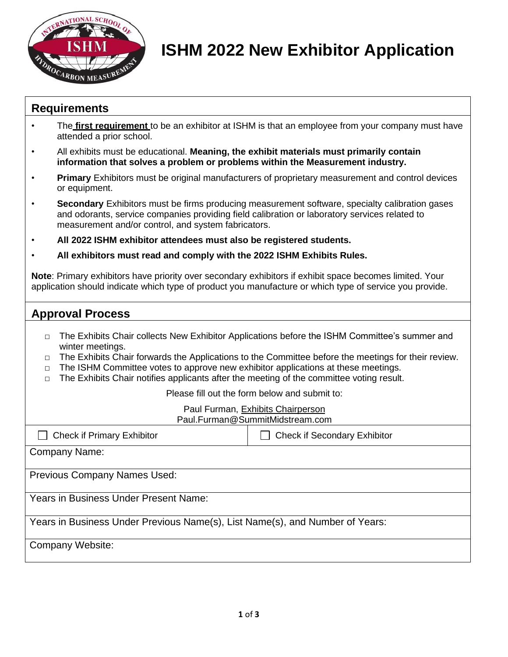

## **ISHM 2022 New Exhibitor Application**

### **Requirements**

- The **first requirement** to be an exhibitor at ISHM is that an employee from your company must have attended a prior school.
- All exhibits must be educational. **Meaning, the exhibit materials must primarily contain information that solves a problem or problems within the Measurement industry.**
- **Primary** Exhibitors must be original manufacturers of proprietary measurement and control devices or equipment.
- **Secondary** Exhibitors must be firms producing measurement software, specialty calibration gases and odorants, service companies providing field calibration or laboratory services related to measurement and/or control, and system fabricators.
- **All 2022 ISHM exhibitor attendees must also be registered students.**
- **All exhibitors must read and comply with the 2022 ISHM Exhibits Rules.**

**Note**: Primary exhibitors have priority over secondary exhibitors if exhibit space becomes limited. Your application should indicate which type of product you manufacture or which type of service you provide.

### **Approval Process**

- □ The Exhibits Chair collects New Exhibitor Applications before the ISHM Committee's summer and winter meetings.
- □ The Exhibits Chair forwards the Applications to the Committee before the meetings for their review.
- $\Box$  The ISHM Committee votes to approve new exhibitor applications at these meetings.
- The Exhibits Chair notifies applicants after the meeting of the committee voting result.

Please fill out the form below and submit to:

#### Paul Furman, Exhibits Chairperson Paul.Furman@SummitMidstream.com

| <b>Check if Primary Exhibitor</b>                                            | <b>Check if Secondary Exhibitor</b> |  |  |
|------------------------------------------------------------------------------|-------------------------------------|--|--|
| Company Name:                                                                |                                     |  |  |
| <b>Previous Company Names Used:</b>                                          |                                     |  |  |
| Years in Business Under Present Name:                                        |                                     |  |  |
| Years in Business Under Previous Name(s), List Name(s), and Number of Years: |                                     |  |  |
| Company Website:                                                             |                                     |  |  |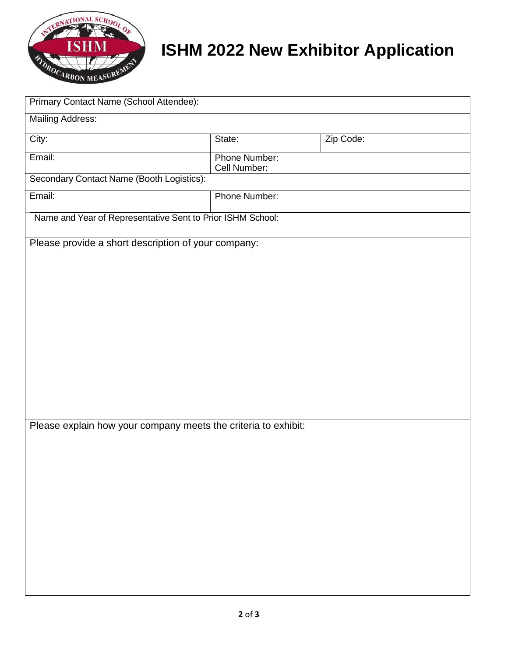

# **ISHM 2022 New Exhibitor Application**

| Primary Contact Name (School Attendee):                        |                               |           |  |
|----------------------------------------------------------------|-------------------------------|-----------|--|
| <b>Mailing Address:</b>                                        |                               |           |  |
| City:                                                          | State:                        | Zip Code: |  |
| Email:                                                         | Phone Number:<br>Cell Number: |           |  |
| Secondary Contact Name (Booth Logistics):                      |                               |           |  |
| Email:                                                         | Phone Number:                 |           |  |
| Name and Year of Representative Sent to Prior ISHM School:     |                               |           |  |
| Please provide a short description of your company:            |                               |           |  |
|                                                                |                               |           |  |
|                                                                |                               |           |  |
|                                                                |                               |           |  |
|                                                                |                               |           |  |
|                                                                |                               |           |  |
|                                                                |                               |           |  |
|                                                                |                               |           |  |
|                                                                |                               |           |  |
|                                                                |                               |           |  |
| Please explain how your company meets the criteria to exhibit: |                               |           |  |
|                                                                |                               |           |  |
|                                                                |                               |           |  |
|                                                                |                               |           |  |
|                                                                |                               |           |  |
|                                                                |                               |           |  |
|                                                                |                               |           |  |
|                                                                |                               |           |  |
|                                                                |                               |           |  |
|                                                                |                               |           |  |